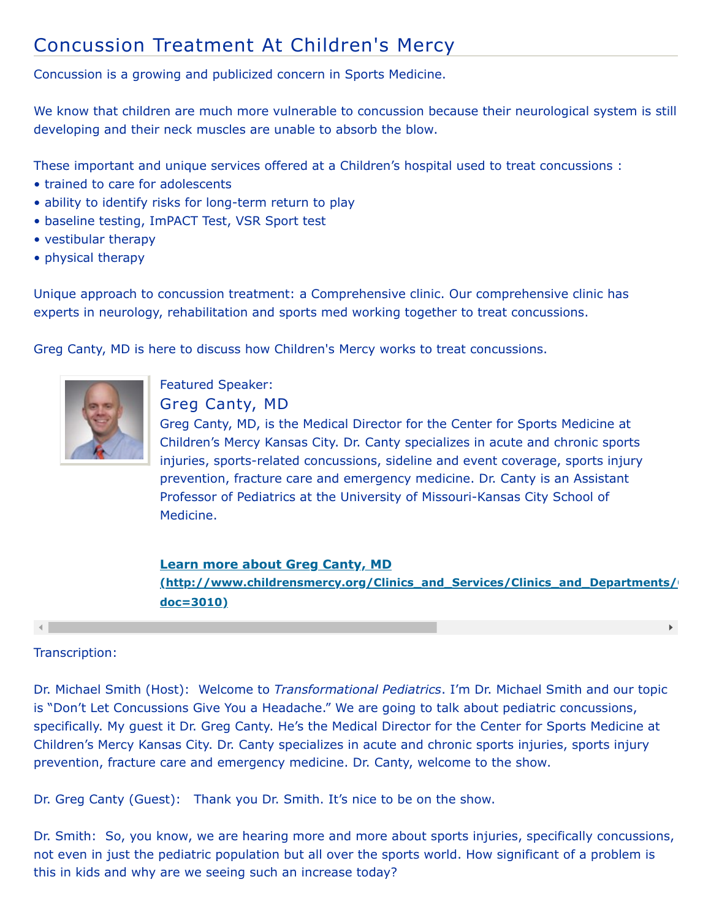# Concussion Treatment At Children's Mercy

Concussion is a growing and publicized concern in Sports Medicine.

We know that children are much more vulnerable to concussion because their neurological system is still developing and their neck muscles are unable to absorb the blow.

These important and unique services offered at a Children's hospital used to treat concussions :

- trained to care for adolescents
- ability to identify risks for long-term return to play
- baseline testing, ImPACT Test, VSR Sport test
- vestibular therapy
- physical therapy

Unique approach to concussion treatment: a Comprehensive clinic. Our comprehensive clinic has experts in neurology, rehabilitation and sports med working together to treat concussions.

Greg Canty, MD is here to discuss how Children's Mercy works to treat concussions.



## Featured Speaker: Greg Canty, MD

Greg Canty, MD, is the Medical Director for the Center for Sports Medicine at Children's Mercy Kansas City. Dr. Canty specializes in acute and chronic sports injuries, sports-related concussions, sideline and event coverage, sports injury prevention, fracture care and emergency medicine. Dr. Canty is an Assistant Professor of Pediatrics at the University of Missouri-Kansas City School of Medicine.

### **Learn more about Greg Canty, MD**

**[\(http://www.childrensmercy.org/Clinics\\_and\\_Services/Clinics\\_and\\_Departments/O](http://www.childrensmercy.org/Clinics_and_Services/Clinics_and_Departments/Orthopaedic_Surgery/Sports_Medicine/Faculty_and_Staff/?doc=3010) doc=3010)**

### Transcription:

Dr. Michael Smith (Host): Welcome to *Transformational Pediatrics*. I'm Dr. Michael Smith and our topic is "Don't Let Concussions Give You a Headache." We are going to talk about pediatric concussions, specifically. My guest it Dr. Greg Canty. He's the Medical Director for the Center for Sports Medicine at Children's Mercy Kansas City. Dr. Canty specializes in acute and chronic sports injuries, sports injury prevention, fracture care and emergency medicine. Dr. Canty, welcome to the show.

Dr. Greg Canty (Guest): Thank you Dr. Smith. It's nice to be on the show.

Dr. Smith: So, you know, we are hearing more and more about sports injuries, specifically concussions, not even in just the pediatric population but all over the sports world. How significant of a problem is this in kids and why are we seeing such an increase today?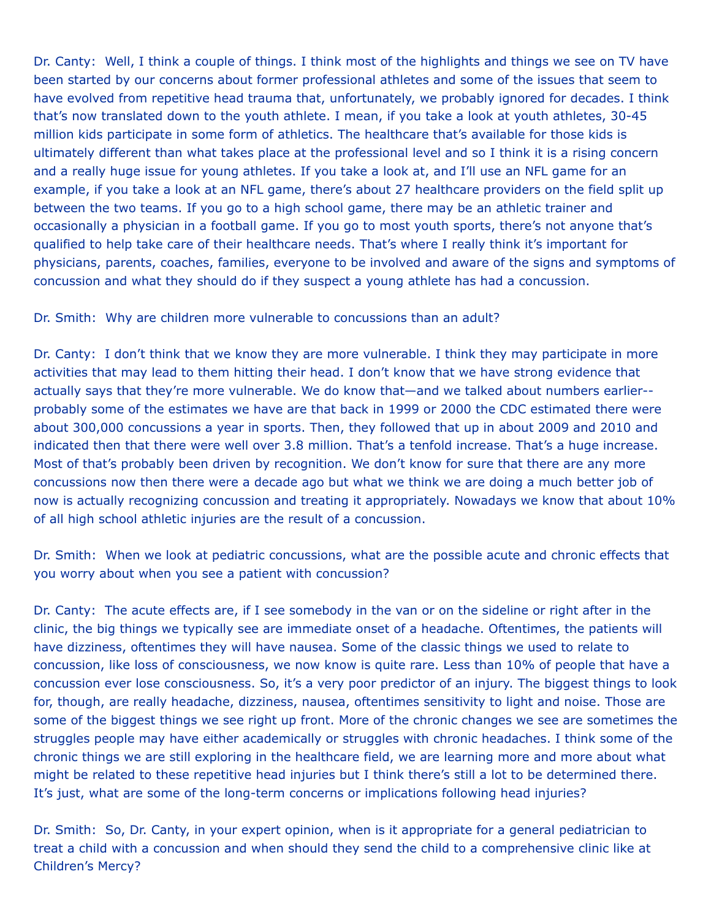Dr. Canty: Well, I think a couple of things. I think most of the highlights and things we see on TV have been started by our concerns about former professional athletes and some of the issues that seem to have evolved from repetitive head trauma that, unfortunately, we probably ignored for decades. I think that's now translated down to the youth athlete. I mean, if you take a look at youth athletes, 30-45 million kids participate in some form of athletics. The healthcare that's available for those kids is ultimately different than what takes place at the professional level and so I think it is a rising concern and a really huge issue for young athletes. If you take a look at, and I'll use an NFL game for an example, if you take a look at an NFL game, there's about 27 healthcare providers on the field split up between the two teams. If you go to a high school game, there may be an athletic trainer and occasionally a physician in a football game. If you go to most youth sports, there's not anyone that's qualified to help take care of their healthcare needs. That's where I really think it's important for physicians, parents, coaches, families, everyone to be involved and aware of the signs and symptoms of concussion and what they should do if they suspect a young athlete has had a concussion.

### Dr. Smith: Why are children more vulnerable to concussions than an adult?

Dr. Canty: I don't think that we know they are more vulnerable. I think they may participate in more activities that may lead to them hitting their head. I don't know that we have strong evidence that actually says that they're more vulnerable. We do know that—and we talked about numbers earlier- probably some of the estimates we have are that back in 1999 or 2000 the CDC estimated there were about 300,000 concussions a year in sports. Then, they followed that up in about 2009 and 2010 and indicated then that there were well over 3.8 million. That's a tenfold increase. That's a huge increase. Most of that's probably been driven by recognition. We don't know for sure that there are any more concussions now then there were a decade ago but what we think we are doing a much better job of now is actually recognizing concussion and treating it appropriately. Nowadays we know that about 10% of all high school athletic injuries are the result of a concussion.

Dr. Smith: When we look at pediatric concussions, what are the possible acute and chronic effects that you worry about when you see a patient with concussion?

Dr. Canty: The acute effects are, if I see somebody in the van or on the sideline or right after in the clinic, the big things we typically see are immediate onset of a headache. Oftentimes, the patients will have dizziness, oftentimes they will have nausea. Some of the classic things we used to relate to concussion, like loss of consciousness, we now know is quite rare. Less than 10% of people that have a concussion ever lose consciousness. So, it's a very poor predictor of an injury. The biggest things to look for, though, are really headache, dizziness, nausea, oftentimes sensitivity to light and noise. Those are some of the biggest things we see right up front. More of the chronic changes we see are sometimes the struggles people may have either academically or struggles with chronic headaches. I think some of the chronic things we are still exploring in the healthcare field, we are learning more and more about what might be related to these repetitive head injuries but I think there's still a lot to be determined there. It's just, what are some of the long-term concerns or implications following head injuries?

Dr. Smith: So, Dr. Canty, in your expert opinion, when is it appropriate for a general pediatrician to treat a child with a concussion and when should they send the child to a comprehensive clinic like at Children's Mercy?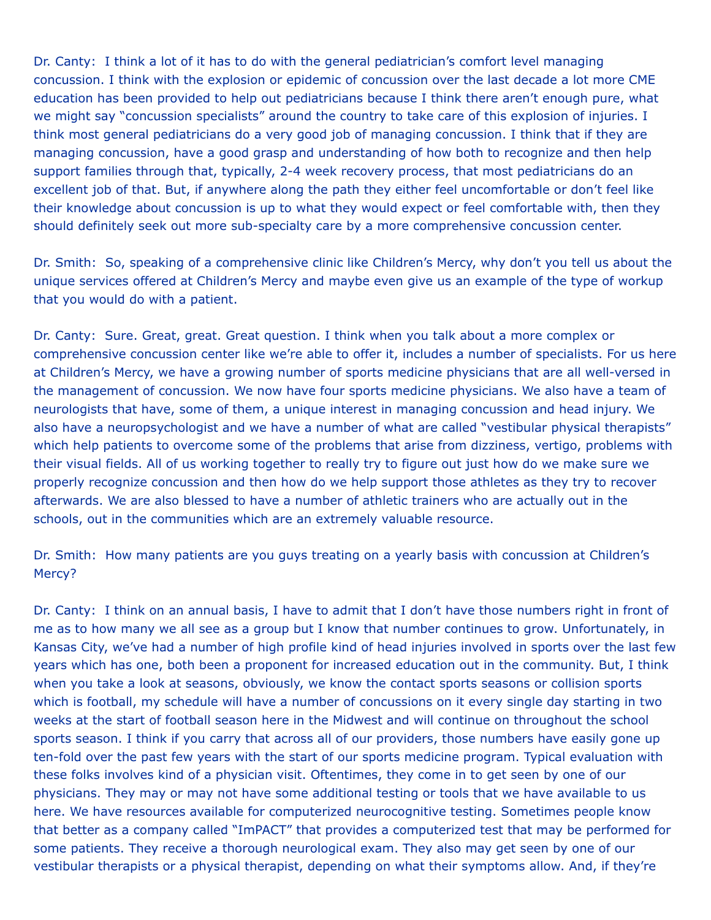Dr. Canty: I think a lot of it has to do with the general pediatrician's comfort level managing concussion. I think with the explosion or epidemic of concussion over the last decade a lot more CME education has been provided to help out pediatricians because I think there aren't enough pure, what we might say "concussion specialists" around the country to take care of this explosion of injuries. I think most general pediatricians do a very good job of managing concussion. I think that if they are managing concussion, have a good grasp and understanding of how both to recognize and then help support families through that, typically, 2-4 week recovery process, that most pediatricians do an excellent job of that. But, if anywhere along the path they either feel uncomfortable or don't feel like their knowledge about concussion is up to what they would expect or feel comfortable with, then they should definitely seek out more sub-specialty care by a more comprehensive concussion center.

Dr. Smith: So, speaking of a comprehensive clinic like Children's Mercy, why don't you tell us about the unique services offered at Children's Mercy and maybe even give us an example of the type of workup that you would do with a patient.

Dr. Canty: Sure. Great, great. Great question. I think when you talk about a more complex or comprehensive concussion center like we're able to offer it, includes a number of specialists. For us here at Children's Mercy, we have a growing number of sports medicine physicians that are all well-versed in the management of concussion. We now have four sports medicine physicians. We also have a team of neurologists that have, some of them, a unique interest in managing concussion and head injury. We also have a neuropsychologist and we have a number of what are called "vestibular physical therapists" which help patients to overcome some of the problems that arise from dizziness, vertigo, problems with their visual fields. All of us working together to really try to figure out just how do we make sure we properly recognize concussion and then how do we help support those athletes as they try to recover afterwards. We are also blessed to have a number of athletic trainers who are actually out in the schools, out in the communities which are an extremely valuable resource.

Dr. Smith: How many patients are you guys treating on a yearly basis with concussion at Children's Mercy?

Dr. Canty: I think on an annual basis, I have to admit that I don't have those numbers right in front of me as to how many we all see as a group but I know that number continues to grow. Unfortunately, in Kansas City, we've had a number of high profile kind of head injuries involved in sports over the last few years which has one, both been a proponent for increased education out in the community. But, I think when you take a look at seasons, obviously, we know the contact sports seasons or collision sports which is football, my schedule will have a number of concussions on it every single day starting in two weeks at the start of football season here in the Midwest and will continue on throughout the school sports season. I think if you carry that across all of our providers, those numbers have easily gone up ten-fold over the past few years with the start of our sports medicine program. Typical evaluation with these folks involves kind of a physician visit. Oftentimes, they come in to get seen by one of our physicians. They may or may not have some additional testing or tools that we have available to us here. We have resources available for computerized neurocognitive testing. Sometimes people know that better as a company called "ImPACT" that provides a computerized test that may be performed for some patients. They receive a thorough neurological exam. They also may get seen by one of our vestibular therapists or a physical therapist, depending on what their symptoms allow. And, if they're